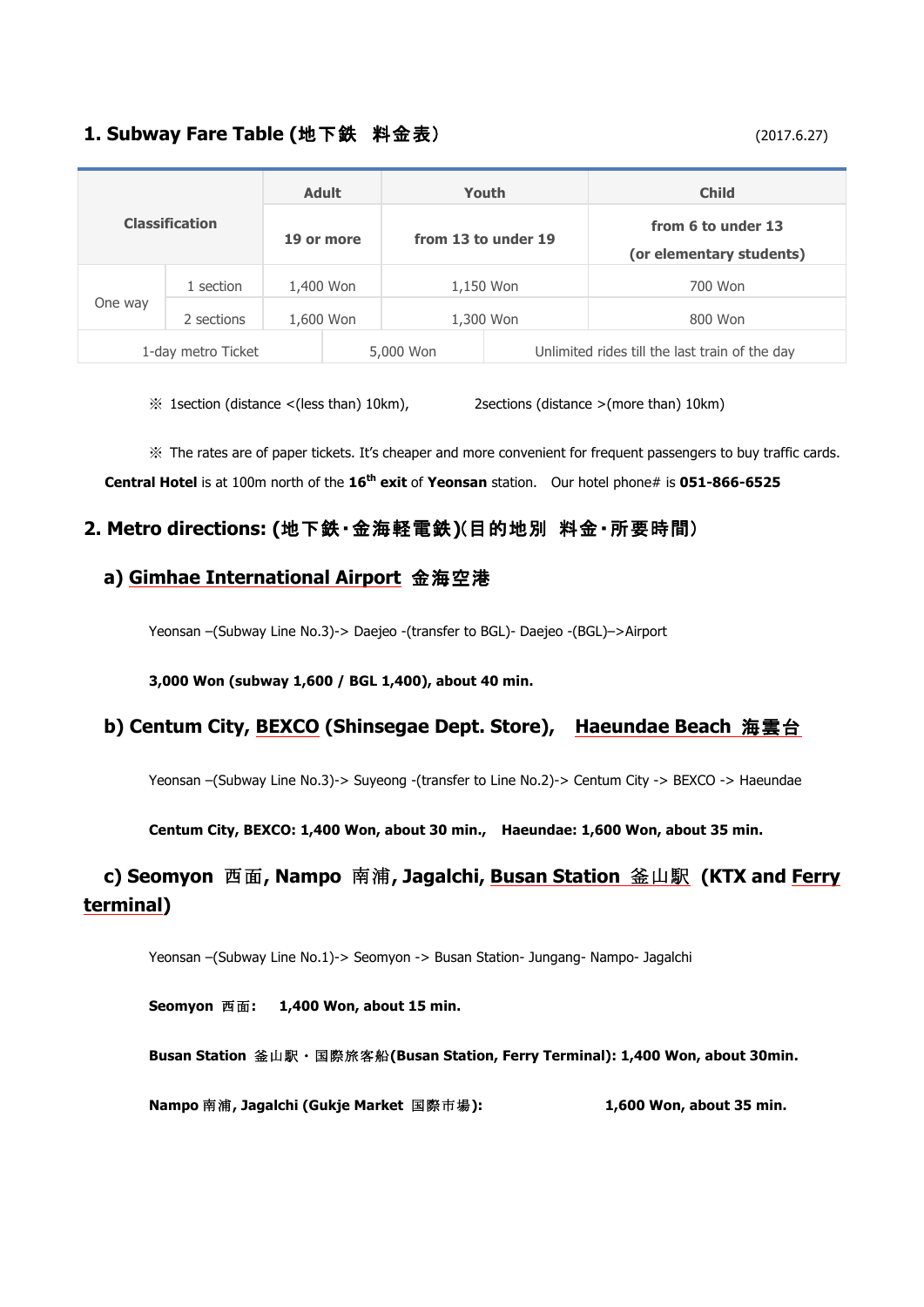# **1. Subway Fare Table (**地下鉄 料金表) (2017.6.27)

| <b>Classification</b> |            | <b>Adult</b> | Youth               |                                                | <b>Child</b>                                   |
|-----------------------|------------|--------------|---------------------|------------------------------------------------|------------------------------------------------|
|                       |            | 19 or more   | from 13 to under 19 |                                                | from 6 to under 13<br>(or elementary students) |
| One way               | 1 section  | 1,400 Won    |                     | 1,150 Won                                      | 700 Won                                        |
|                       | 2 sections | 1,600 Won    |                     | 1,300 Won                                      | 800 Won                                        |
| 1-day metro Ticket    |            |              | 5,000 Won           | Unlimited rides till the last train of the day |                                                |

 $\%$  1 section (distance <(less than) 10km), 2 sections (distance >(more than) 10km)

※ The rates are of paper tickets. It's cheaper and more convenient for frequent passengers to buy traffic cards. **Central Hotel** is at 100m north of the **16th exit** of **Yeonsan** station. Our hotel phone# is **051-866-6525**

### **2. Metro directions: (**地下鉄・金海軽電鉄**)**(目的地別 料金・所要時間)

### **a) Gimhae International Airport** 金海空港

Yeonsan –(Subway Line No.3)-> Daejeo -(transfer to BGL)- Daejeo -(BGL)–>Airport

**3,000 Won (subway 1,600 / BGL 1,400), about 40 min.**

# **b) Centum City, BEXCO (Shinsegae Dept. Store), Haeundae Beach** 海雲台

Yeonsan –(Subway Line No.3)-> Suyeong -(transfer to Line No.2)-> Centum City -> BEXCO -> Haeundae

#### **Centum City, BEXCO: 1,400 Won, about 30 min., Haeundae: 1,600 Won, about 35 min.**

# **c) Seomyon** 西面**, Nampo** 南浦**, Jagalchi, Busan Station** 釜山駅 **(KTX and Ferry terminal)**

Yeonsan –(Subway Line No.1)-> Seomyon -> Busan Station- Jungang- Nampo- Jagalchi

**Seomyon** 西面**: 1,400 Won, about 15 min.**

**Busan Station** 釜山駅・国際旅客船**(Busan Station, Ferry Terminal): 1,400 Won, about 30min.**

**Nampo** 南浦**, Jagalchi (Gukje Market** 国際市場**): 1,600 Won, about 35 min.**